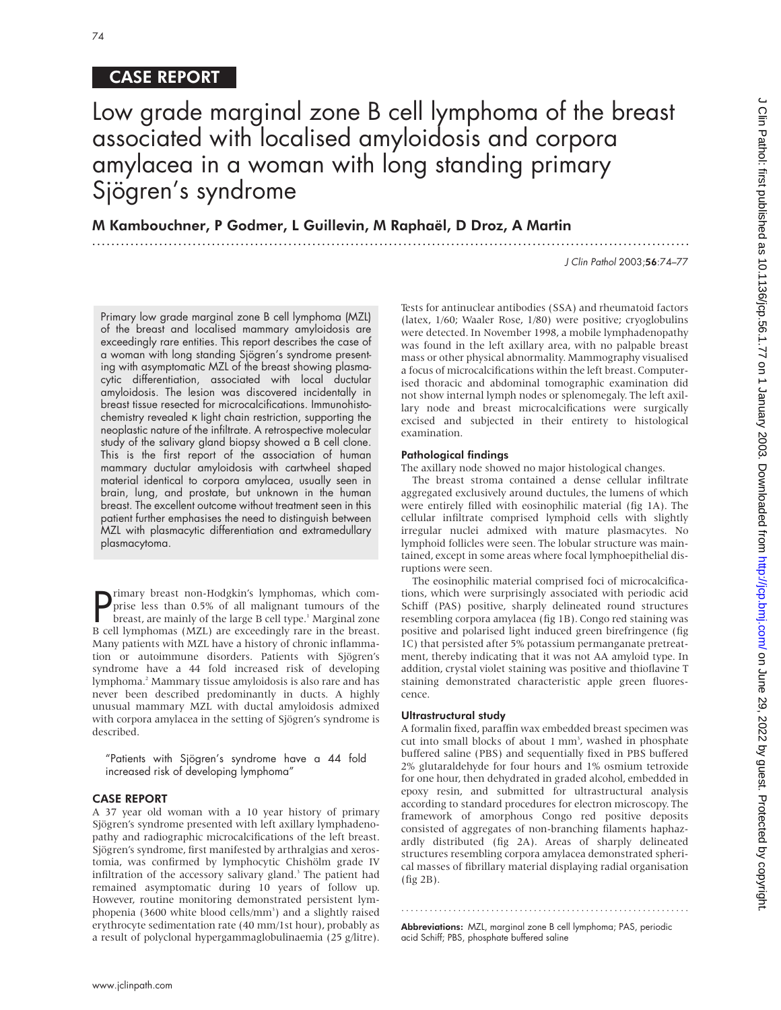# CASE REPORT

# Low grade marginal zone B cell lymphoma of the breast associated with localised amyloidosis and corpora amylacea in a woman with long standing primary Sjögren's syndrome

.............................................................................................................................

M Kambouchner, P Godmer, L Guillevin, M Raphaël, D Droz, A Martin

J Clin Pathol 2003;56:74–77

Primary low grade marginal zone B cell lymphoma (MZL) of the breast and localised mammary amyloidosis are exceedingly rare entities. This report describes the case of a woman with long standing Sjögren's syndrome presenting with asymptomatic MZL of the breast showing plasmacytic differentiation, associated with local ductular amyloidosis. The lesion was discovered incidentally in breast tissue resected for microcalcifications. Immunohistochemistry revealed κ light chain restriction, supporting the neoplastic nature of the infiltrate. A retrospective molecular study of the salivary gland biopsy showed a B cell clone. This is the first report of the association of human mammary ductular amyloidosis with cartwheel shaped material identical to corpora amylacea, usually seen in brain, lung, and prostate, but unknown in the human breast. The excellent outcome without treatment seen in this patient further emphasises the need to distinguish between MZL with plasmacytic differentiation and extramedullary plasmacytoma.

**P** rimary breast non-Hodgkin's lymphomas, which comprise less than 0.5% of all malignant tumours of the breast, are mainly of the large B cell type.<sup>1</sup> Marginal zone prise less than 0.5% of all malignant tumours of the breast, are mainly of the large B cell type.<sup>1</sup> Marginal zone B cell lymphomas (MZL) are exceedingly rare in the breast. Many patients with MZL have a history of chronic inflammation or autoimmune disorders. Patients with Sjögren's syndrome have a 44 fold increased risk of developing lymphoma.2 Mammary tissue amyloidosis is also rare and has never been described predominantly in ducts. A highly unusual mammary MZL with ductal amyloidosis admixed with corpora amylacea in the setting of Sjögren's syndrome is described.

"Patients with Sjögren's syndrome have a 44 fold increased risk of developing lymphoma"

# CASE REPORT

A 37 year old woman with a 10 year history of primary Sjögren's syndrome presented with left axillary lymphadenopathy and radiographic microcalcifications of the left breast. Sjögren's syndrome, first manifested by arthralgias and xerostomia, was confirmed by lymphocytic Chishölm grade IV infiltration of the accessory salivary gland.<sup>3</sup> The patient had remained asymptomatic during 10 years of follow up. However, routine monitoring demonstrated persistent lymphopenia (3600 white blood cells/mm<sup>3</sup>) and a slightly raised erythrocyte sedimentation rate (40 mm/1st hour), probably as a result of polyclonal hypergammaglobulinaemia (25 g/litre). Tests for antinuclear antibodies (SSA) and rheumatoid factors (latex, 1/60; Waaler Rose, 1/80) were positive; cryoglobulins were detected. In November 1998, a mobile lymphadenopathy was found in the left axillary area, with no palpable breast mass or other physical abnormality. Mammography visualised a focus of microcalcifications within the left breast. Computerised thoracic and abdominal tomographic examination did not show internal lymph nodes or splenomegaly. The left axillary node and breast microcalcifications were surgically excised and subjected in their entirety to histological examination.

## Pathological findings

The axillary node showed no major histological changes.

The breast stroma contained a dense cellular infiltrate aggregated exclusively around ductules, the lumens of which were entirely filled with eosinophilic material (fig 1A). The cellular infiltrate comprised lymphoid cells with slightly irregular nuclei admixed with mature plasmacytes. No lymphoid follicles were seen. The lobular structure was maintained, except in some areas where focal lymphoepithelial disruptions were seen.

The eosinophilic material comprised foci of microcalcifications, which were surprisingly associated with periodic acid Schiff (PAS) positive, sharply delineated round structures resembling corpora amylacea (fig 1B). Congo red staining was positive and polarised light induced green birefringence (fig 1C) that persisted after 5% potassium permanganate pretreatment, thereby indicating that it was not AA amyloid type. In addition, crystal violet staining was positive and thioflavine T staining demonstrated characteristic apple green fluorescence.

## Ultrastructural study

A formalin fixed, paraffin wax embedded breast specimen was cut into small blocks of about 1 mm<sup>3</sup>, washed in phosphate buffered saline (PBS) and sequentially fixed in PBS buffered 2% glutaraldehyde for four hours and 1% osmium tetroxide for one hour, then dehydrated in graded alcohol, embedded in epoxy resin, and submitted for ultrastructural analysis according to standard procedures for electron microscopy. The framework of amorphous Congo red positive deposits consisted of aggregates of non-branching filaments haphazardly distributed (fig 2A). Areas of sharply delineated structures resembling corpora amylacea demonstrated spherical masses of fibrillary material displaying radial organisation (fig 2B).

Abbreviations: MZL, marginal zone B cell lymphoma; PAS, periodic acid Schiff; PBS, phosphate buffered saline

.............................................................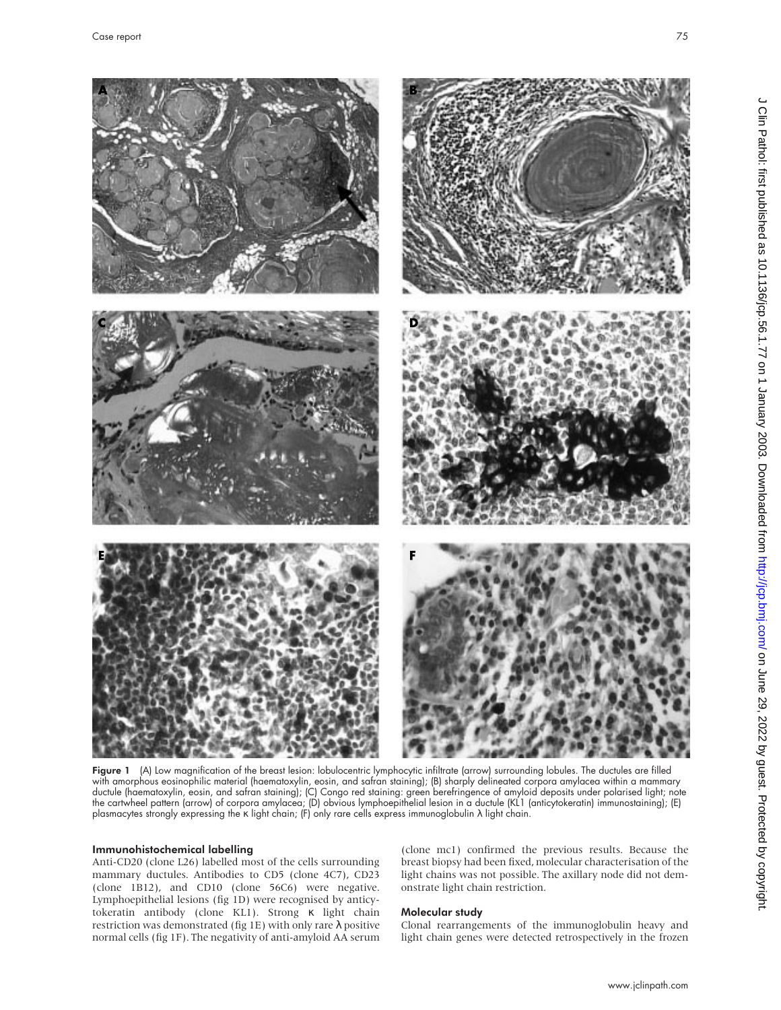

Figure 1 (A) Low magnification of the breast lesion: lobulocentric lymphocytic infiltrate (arrow) surrounding lobules. The ductules are filled with amorphous eosinophilic material (haematoxylin, eosin, and safran staining); (B) sharply delineated corpora amylacea within a mammary ductule (haematoxylin, eosin, and safran staining); (C) Congo red staining: green berefringence of amyloid deposits under polarised light; note the cartwheel pattern (arrow) of corpora amylacea; (D) obvious lymphoepithelial lesion in a ductule (KL1 (anticytokeratin) immunostaining); (E) plasmacytes strongly expressing the κ light chain; (F) only rare cells express immunoglobulin λ light chain.

## Immunohistochemical labelling

Anti-CD20 (clone L26) labelled most of the cells surrounding mammary ductules. Antibodies to CD5 (clone 4C7), CD23 (clone 1B12), and CD10 (clone 56C6) were negative. Lymphoepithelial lesions (fig 1D) were recognised by anticytokeratin antibody (clone KL1). Strong κ light chain restriction was demonstrated (fig 1E) with only rare λ positive normal cells (fig 1F). The negativity of anti-amyloid AA serum

(clone mc1) confirmed the previous results. Because the breast biopsy had been fixed, molecular characterisation of the light chains was not possible. The axillary node did not demonstrate light chain restriction.

# Molecular study

Clonal rearrangements of the immunoglobulin heavy and light chain genes were detected retrospectively in the frozen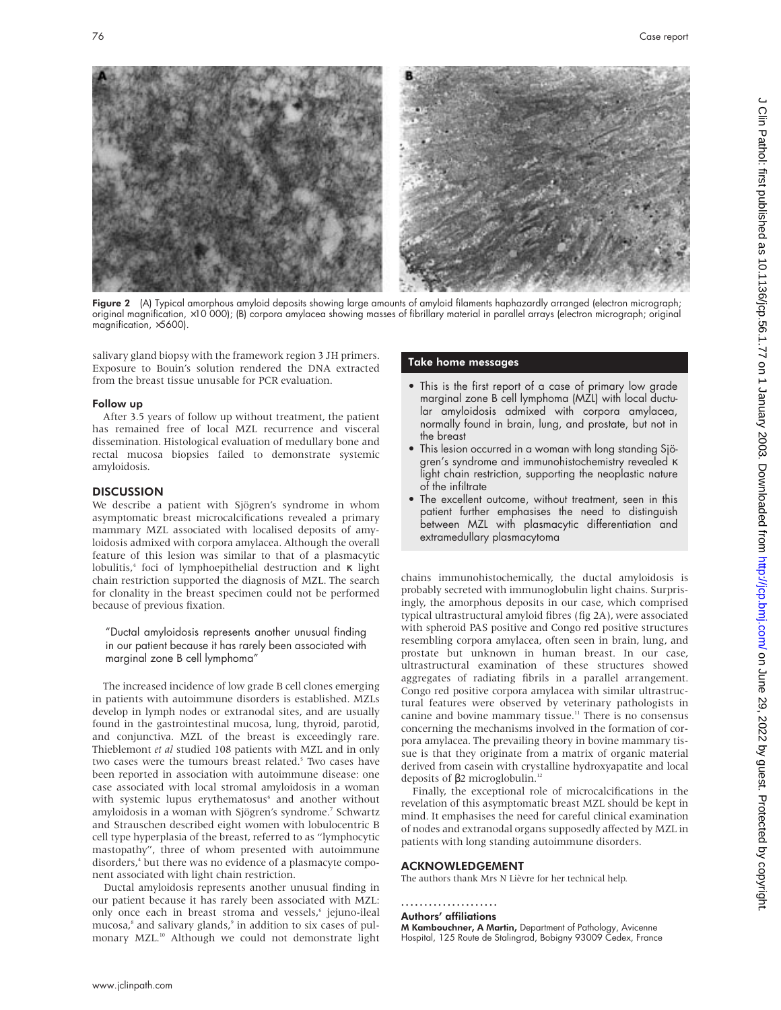

Figure 2 (A) Typical amorphous amyloid deposits showing large amounts of amyloid filaments haphazardly arranged (electron micrograph; original magnification, ×10 000); (B) corpora amylacea showing masses of fibrillary material in parallel arrays (electron micrograph; original magnification, ×5600).

salivary gland biopsy with the framework region 3 JH primers. Exposure to Bouin's solution rendered the DNA extracted from the breast tissue unusable for PCR evaluation.

#### Follow up

After 3.5 years of follow up without treatment, the patient has remained free of local MZL recurrence and visceral dissemination. Histological evaluation of medullary bone and rectal mucosa biopsies failed to demonstrate systemic amyloidosis.

## **DISCUSSION**

We describe a patient with Sjögren's syndrome in whom asymptomatic breast microcalcifications revealed a primary mammary MZL associated with localised deposits of amyloidosis admixed with corpora amylacea. Although the overall feature of this lesion was similar to that of a plasmacytic lobulitis,4 foci of lymphoepithelial destruction and κ light chain restriction supported the diagnosis of MZL. The search for clonality in the breast specimen could not be performed because of previous fixation.

"Ductal amyloidosis represents another unusual finding in our patient because it has rarely been associated with marginal zone B cell lymphoma"

The increased incidence of low grade B cell clones emerging in patients with autoimmune disorders is established. MZLs develop in lymph nodes or extranodal sites, and are usually found in the gastrointestinal mucosa, lung, thyroid, parotid, and conjunctiva. MZL of the breast is exceedingly rare. Thieblemont *et al* studied 108 patients with MZL and in only two cases were the tumours breast related.<sup>5</sup> Two cases have been reported in association with autoimmune disease: one case associated with local stromal amyloidosis in a woman with systemic lupus erythematosus<sup>6</sup> and another without amyloidosis in a woman with Sjögren's syndrome.<sup>7</sup> Schwartz and Strauschen described eight women with lobulocentric B cell type hyperplasia of the breast, referred to as "lymphocytic mastopathy", three of whom presented with autoimmune disorders,<sup>4</sup> but there was no evidence of a plasmacyte component associated with light chain restriction.

Ductal amyloidosis represents another unusual finding in our patient because it has rarely been associated with MZL: only once each in breast stroma and vessels,<sup>6</sup> jejuno-ileal mucosa,<sup>8</sup> and salivary glands,<sup>9</sup> in addition to six cases of pulmonary MZL.<sup>10</sup> Although we could not demonstrate light

#### Take home messages

- This is the first report of a case of primary low grade marginal zone B cell lymphoma (MZL) with local ductular amyloidosis admixed with corpora amylacea, normally found in brain, lung, and prostate, but not in the breast
- This lesion occurred in a woman with long standing Sjögren's syndrome and immunohistochemistry revealed κ light chain restriction, supporting the neoplastic nature of the infiltrate
- The excellent outcome, without treatment, seen in this patient further emphasises the need to distinguish between MZL with plasmacytic differentiation and extramedullary plasmacytoma

chains immunohistochemically, the ductal amyloidosis is probably secreted with immunoglobulin light chains. Surprisingly, the amorphous deposits in our case, which comprised typical ultrastructural amyloid fibres (fig 2A), were associated with spheroid PAS positive and Congo red positive structures resembling corpora amylacea, often seen in brain, lung, and prostate but unknown in human breast. In our case, ultrastructural examination of these structures showed aggregates of radiating fibrils in a parallel arrangement. Congo red positive corpora amylacea with similar ultrastructural features were observed by veterinary pathologists in canine and bovine mammary tissue.<sup>11</sup> There is no consensus concerning the mechanisms involved in the formation of corpora amylacea. The prevailing theory in bovine mammary tissue is that they originate from a matrix of organic material derived from casein with crystalline hydroxyapatite and local deposits of β2 microglobulin.<sup>12</sup>

Finally, the exceptional role of microcalcifications in the revelation of this asymptomatic breast MZL should be kept in mind. It emphasises the need for careful clinical examination of nodes and extranodal organs supposedly affected by MZL in patients with long standing autoimmune disorders.

#### ACKNOWLEDGEMENT

The authors thank Mrs N Lièvre for her technical help.

#### .....................

Authors' affiliations

M Kambouchner, A Martin, Department of Pathology, Avicenne Hospital, 125 Route de Stalingrad, Bobigny 93009 Cedex, France